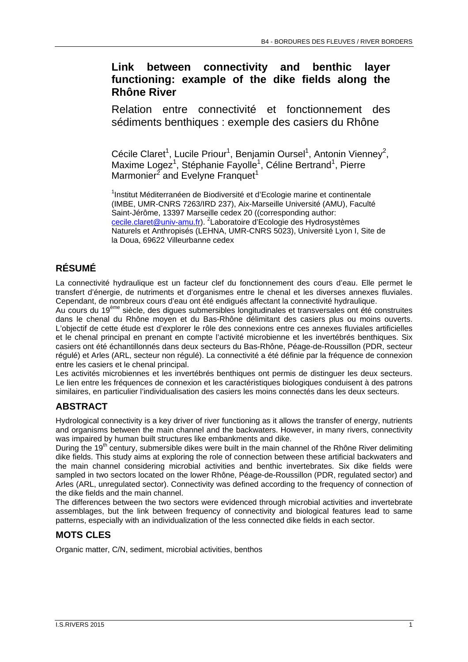# **Link between connectivity and benthic layer functioning: example of the dike fields along the Rhône River**

Relation entre connectivité et fonctionnement des sédiments benthiques : exemple des casiers du Rhône

Cécile Claret<sup>1</sup>, Lucile Priour<sup>1</sup>, Benjamin Oursel<sup>1</sup>, Antonin Vienney<sup>2</sup>, Maxime Logez<sup>1</sup>, Stéphanie Fayolle<sup>1</sup>, Céline Bertrand<sup>1</sup>, Pierre Marmonier<sup>2</sup> and Evelyne Franquet<sup>1</sup>

<sup>1</sup>Institut Méditerranéen de Biodiversité et d'Ecologie marine et continentale (IMBE, UMR-CNRS 7263/IRD 237), Aix-Marseille Université (AMU), Faculté Saint-Jérôme, 13397 Marseille cedex 20 ((corresponding author: cecile.claret@univ-amu.fr). <sup>2</sup>Laboratoire d'Ecologie des Hydrosystèmes Naturels et Anthropisés (LEHNA, UMR-CNRS 5023), Université Lyon I, Site de la Doua, 69622 Villeurbanne cedex

# **RÉSUMÉ**

La connectivité hydraulique est un facteur clef du fonctionnement des cours d'eau. Elle permet le transfert d'énergie, de nutriments et d'organismes entre le chenal et les diverses annexes fluviales. Cependant, de nombreux cours d'eau ont été endigués affectant la connectivité hydraulique.

Au cours du 19<sup>ème</sup> siècle, des digues submersibles longitudinales et transversales ont été construites dans le chenal du Rhône moyen et du Bas-Rhône délimitant des casiers plus ou moins ouverts. L'objectif de cette étude est d'explorer le rôle des connexions entre ces annexes fluviales artificielles et le chenal principal en prenant en compte l'activité microbienne et les invertébrés benthiques. Six casiers ont été échantillonnés dans deux secteurs du Bas-Rhône, Péage-de-Roussillon (PDR, secteur régulé) et Arles (ARL, secteur non régulé). La connectivité a été définie par la fréquence de connexion entre les casiers et le chenal principal.

Les activités microbiennes et les invertébrés benthiques ont permis de distinguer les deux secteurs. Le lien entre les fréquences de connexion et les caractéristiques biologiques conduisent à des patrons similaires, en particulier l'individualisation des casiers les moins connectés dans les deux secteurs.

# **ABSTRACT**

Hydrological connectivity is a key driver of river functioning as it allows the transfer of energy, nutrients and organisms between the main channel and the backwaters. However, in many rivers, connectivity was impaired by human built structures like embankments and dike.

During the 19<sup>th</sup> century, submersible dikes were built in the main channel of the Rhône River delimiting dike fields. This study aims at exploring the role of connection between these artificial backwaters and the main channel considering microbial activities and benthic invertebrates. Six dike fields were sampled in two sectors located on the lower Rhône, Péage-de-Roussillon (PDR, regulated sector) and Arles (ARL, unregulated sector). Connectivity was defined according to the frequency of connection of the dike fields and the main channel.

The differences between the two sectors were evidenced through microbial activities and invertebrate assemblages, but the link between frequency of connectivity and biological features lead to same patterns, especially with an individualization of the less connected dike fields in each sector.

## **MOTS CLES**

Organic matter, C/N, sediment, microbial activities, benthos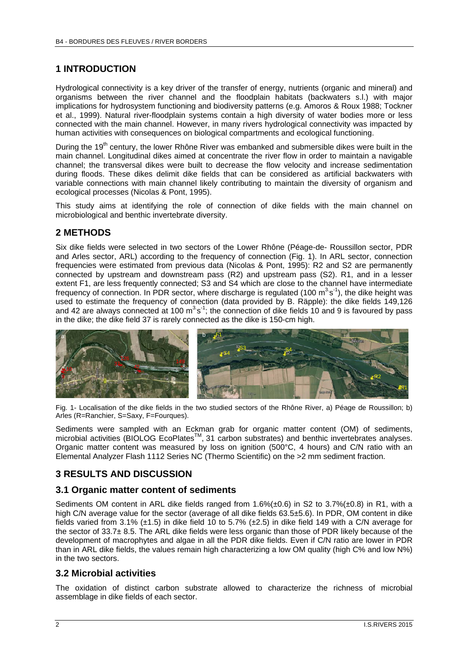## **1 INTRODUCTION**

Hydrological connectivity is a key driver of the transfer of energy, nutrients (organic and mineral) and organisms between the river channel and the floodplain habitats (backwaters s.l.) with major implications for hydrosystem functioning and biodiversity patterns (e.g. Amoros & Roux 1988; Tockner et al., 1999). Natural river-floodplain systems contain a high diversity of water bodies more or less connected with the main channel. However, in many rivers hydrological connectivity was impacted by human activities with consequences on biological compartments and ecological functioning.

During the 19<sup>th</sup> century, the lower Rhône River was embanked and submersible dikes were built in the main channel. Longitudinal dikes aimed at concentrate the river flow in order to maintain a navigable channel; the transversal dikes were built to decrease the flow velocity and increase sedimentation during floods. These dikes delimit dike fields that can be considered as artificial backwaters with variable connections with main channel likely contributing to maintain the diversity of organism and ecological processes (Nicolas & Pont, 1995).

This study aims at identifying the role of connection of dike fields with the main channel on microbiological and benthic invertebrate diversity.

### **2 METHODS**

Six dike fields were selected in two sectors of the Lower Rhône (Péage-de- Roussillon sector, PDR and Arles sector, ARL) according to the frequency of connection (Fig. 1). In ARL sector, connection frequencies were estimated from previous data (Nicolas & Pont, 1995): R2 and S2 are permanently connected by upstream and downstream pass (R2) and upstream pass (S2). R1, and in a lesser extent F1, are less frequently connected; S3 and S4 which are close to the channel have intermediate frequency of connection. In PDR sector, where discharge is regulated (100  $\text{m}^3\text{s}^{-1}$ ), the dike height was used to estimate the frequency of connection (data provided by B. Räpple): the dike fields 149,126 and 42 are always connected at 100  $\text{m}^3\text{s}^{-1}$ ; the connection of dike fields 10 and 9 is favoured by pass in the dike; the dike field 37 is rarely connected as the dike is 150-cm high.



Fig. 1- Localisation of the dike fields in the two studied sectors of the Rhône River, a) Péage de Roussillon; b) Arles (R=Ranchier, S=Saxy, F=Fourques).

Sediments were sampled with an Eckman grab for organic matter content (OM) of sediments, microbial activities (BIOLOG EcoPlates™, 31 carbon substrates) and benthic invertebrates analyses. Organic matter content was measured by loss on ignition (500°C, 4 hours) and C/N ratio with an Elemental Analyzer Flash 1112 Series NC (Thermo Scientific) on the >2 mm sediment fraction.

## **3 RESULTS AND DISCUSSION**

#### **3.1 Organic matter content of sediments**

Sediments OM content in ARL dike fields ranged from 1.6%(±0.6) in S2 to 3.7%(±0.8) in R1, with a high C/N average value for the sector (average of all dike fields 63.5±5.6). In PDR, OM content in dike fields varied from 3.1% (±1.5) in dike field 10 to 5.7% (±2.5) in dike field 149 with a C/N average for the sector of 33.7± 8.5. The ARL dike fields were less organic than those of PDR likely because of the development of macrophytes and algae in all the PDR dike fields. Even if C/N ratio are lower in PDR than in ARL dike fields, the values remain high characterizing a low OM quality (high C% and low N%) in the two sectors.

#### **3.2 Microbial activities**

The oxidation of distinct carbon substrate allowed to characterize the richness of microbial assemblage in dike fields of each sector.